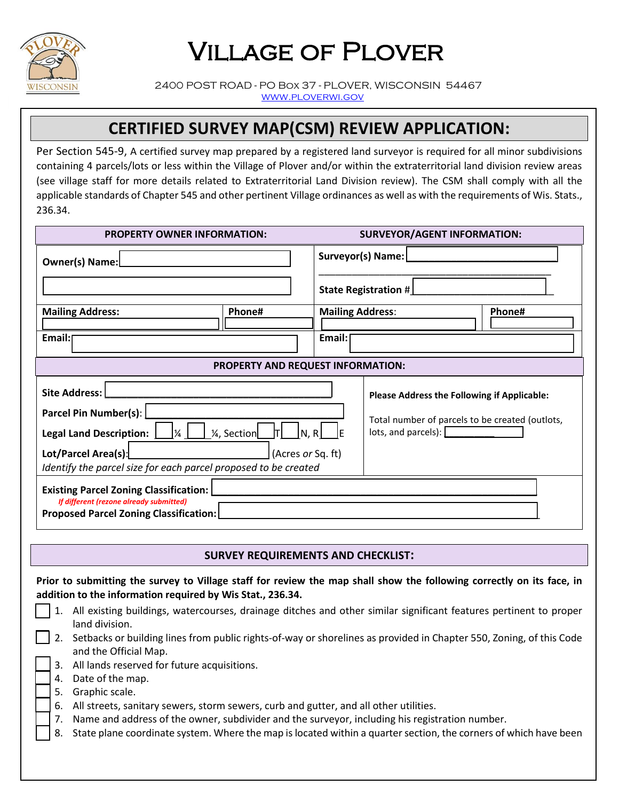

## Village of Plover

 2400 POST ROAD - PO Box 37 - PLOVER, WISCONSIN 54467 [www.ploverwi.gov](http://www.ploverwi.gov/)

## **CERTIFIED SURVEY MAP(CSM) REVIEW APPLICATION:**

Per Section 545-9, A certified survey map prepared by a registered land surveyor is required for all minor subdivisions containing 4 parcels/lots or less within the Village of Plover and/or within the extraterritorial land division review areas (see village staff for more details related to Extraterritorial Land Division review). The CSM shall comply with all the applicable standards of Chapter 545 and other pertinent Village ordinances as well as with the requirements of Wis. Stats., 236.34.

| <b>PROPERTY OWNER INFORMATION:</b>                                                                                                            |        | <b>SURVEYOR/AGENT INFORMATION:</b> |                                                                                        |        |  |
|-----------------------------------------------------------------------------------------------------------------------------------------------|--------|------------------------------------|----------------------------------------------------------------------------------------|--------|--|
| Owner(s) Name:                                                                                                                                |        | Surveyor(s) Name:                  |                                                                                        |        |  |
|                                                                                                                                               |        | State Registration #               |                                                                                        |        |  |
| <b>Mailing Address:</b>                                                                                                                       | Phone# | <b>Mailing Address:</b>            |                                                                                        | Phone# |  |
| Email:                                                                                                                                        |        | Email:                             |                                                                                        |        |  |
| PROPERTY AND REQUEST INFORMATION:                                                                                                             |        |                                    |                                                                                        |        |  |
| <b>Site Address:</b>                                                                                                                          |        |                                    | <b>Please Address the Following if Applicable:</b>                                     |        |  |
| Parcel Pin Number(s):<br>$\lfloor N, R \lfloor \right\rfloor$<br>1/ <sub>4</sub> , Section<br><b>Legal Land Description:</b><br>$\frac{1}{4}$ |        |                                    | Total number of parcels to be created (outlots,<br>$\vert$ lots, and parcels): $\vert$ |        |  |
| Lot/Parcel Area(s):<br>(Acres or Sq. ft)<br>Identify the parcel size for each parcel proposed to be created                                   |        |                                    |                                                                                        |        |  |
| <b>Existing Parcel Zoning Classification:</b><br>If different (rezone already submitted)<br><b>Proposed Parcel Zoning Classification:</b>     |        |                                    |                                                                                        |        |  |

## **SURVEY REQUIREMENTS AND CHECKLIST:**

**Prior to submitting the survey to Village staff for review the map shall show the following correctly on its face, in addition to the information required by Wis Stat., 236.34.**

- 1. All existing buildings, watercourses, drainage ditches and other similar significant features pertinent to proper land division.
- 2. Setbacks or building lines from public rights-of-way or shorelines as provided in Chapter 550, Zoning, of this Code and the Official Map.
- 3. All lands reserved for future acquisitions.
- 4. Date of the map.
- 5. Graphic scale.
- 6. All streets, sanitary sewers, storm sewers, curb and gutter, and all other utilities.
- 7. Name and address of the owner, subdivider and the surveyor, including his registration number.
- 8. State plane coordinate system. Where the map is located within a quarter section, the corners of which have been